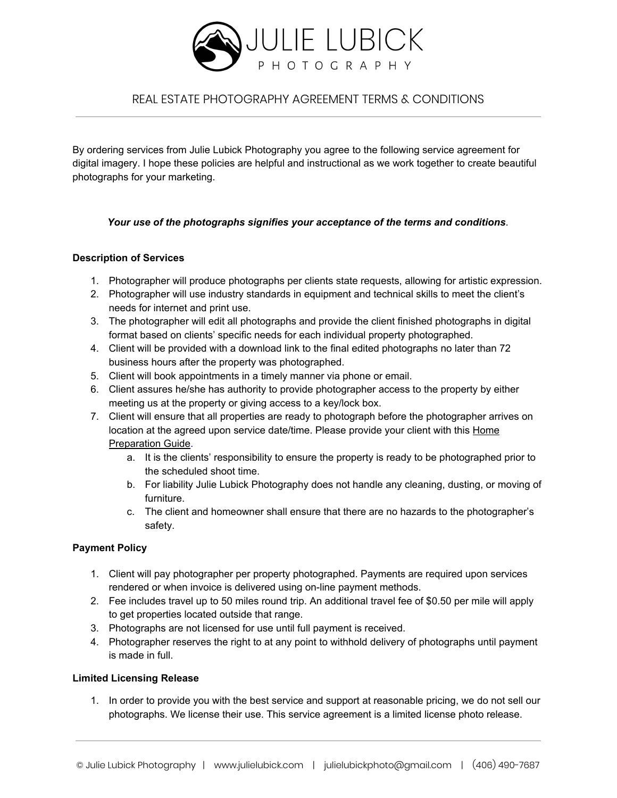

# REAL ESTATE PHOTOGRAPHY AGREEMENT TERMS & CONDITIONS

By ordering services from Julie Lubick Photography you agree to the following service agreement for digital imagery. I hope these policies are helpful and instructional as we work together to create beautiful photographs for your marketing.

## *Your use of the photographs signifies your acceptance of the terms and conditions*.

#### **Description of Services**

- 1. Photographer will produce photographs per clients state requests, allowing for artistic expression.
- 2. Photographer will use industry standards in equipment and technical skills to meet the client's needs for internet and print use.
- 3. The photographer will edit all photographs and provide the client finished photographs in digital format based on clients' specific needs for each individual property photographed.
- 4. Client will be provided with a download link to the final edited photographs no later than 72 business hours after the property was photographed.
- 5. Client will book appointments in a timely manner via phone or email.
- 6. Client assures he/she has authority to provide photographer access to the property by either meeting us at the property or giving access to a key/lock box.
- 7. Client will ensure that all properties are ready to photograph before the photographer arrives on location at the agreed upon service date/time. Please provide your client with this [Home](https://31574d5f-4cff-4f86-93b8-a9a1e4cac690.filesusr.com/ugd/2a8c2a_5e46b861fd7b416597577cf496b95545.pdf) [Preparation](https://31574d5f-4cff-4f86-93b8-a9a1e4cac690.filesusr.com/ugd/2a8c2a_5e46b861fd7b416597577cf496b95545.pdf) Guide.
	- a. It is the clients' responsibility to ensure the property is ready to be photographed prior to the scheduled shoot time.
	- b. For liability Julie Lubick Photography does not handle any cleaning, dusting, or moving of furniture.
	- c. The client and homeowner shall ensure that there are no hazards to the photographer's safety.

## **Payment Policy**

- 1. Client will pay photographer per property photographed. Payments are required upon services rendered or when invoice is delivered using on-line payment methods.
- 2. Fee includes travel up to 50 miles round trip. An additional travel fee of \$0.50 per mile will apply to get properties located outside that range.
- 3. Photographs are not licensed for use until full payment is received.
- 4. Photographer reserves the right to at any point to withhold delivery of photographs until payment is made in full.

#### **Limited Licensing Release**

1. In order to provide you with the best service and support at reasonable pricing, we do not sell our photographs. We license their use. This service agreement is a limited license photo release.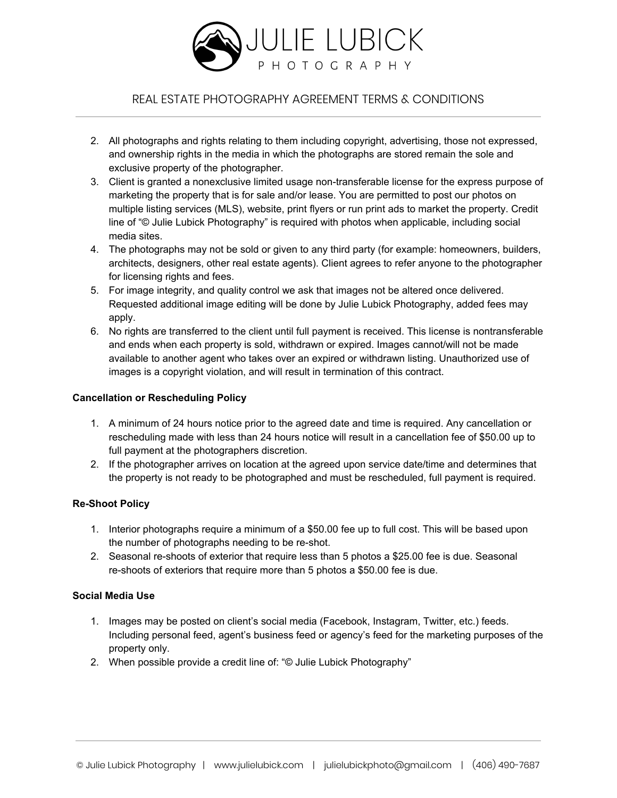

# REAL ESTATE PHOTOGRAPHY AGREEMENT TERMS & CONDITIONS

- 2. All photographs and rights relating to them including copyright, advertising, those not expressed, and ownership rights in the media in which the photographs are stored remain the sole and exclusive property of the photographer.
- 3. Client is granted a nonexclusive limited usage non-transferable license for the express purpose of marketing the property that is for sale and/or lease. You are permitted to post our photos on multiple listing services (MLS), website, print flyers or run print ads to market the property. Credit line of "© Julie Lubick Photography" is required with photos when applicable, including social media sites.
- 4. The photographs may not be sold or given to any third party (for example: homeowners, builders, architects, designers, other real estate agents). Client agrees to refer anyone to the photographer for licensing rights and fees.
- 5. For image integrity, and quality control we ask that images not be altered once delivered. Requested additional image editing will be done by Julie Lubick Photography, added fees may apply.
- 6. No rights are transferred to the client until full payment is received. This license is nontransferable and ends when each property is sold, withdrawn or expired. Images cannot/will not be made available to another agent who takes over an expired or withdrawn listing. Unauthorized use of images is a copyright violation, and will result in termination of this contract.

#### **Cancellation or Rescheduling Policy**

- 1. A minimum of 24 hours notice prior to the agreed date and time is required. Any cancellation or rescheduling made with less than 24 hours notice will result in a cancellation fee of \$50.00 up to full payment at the photographers discretion.
- 2. If the photographer arrives on location at the agreed upon service date/time and determines that the property is not ready to be photographed and must be rescheduled, full payment is required.

## **Re-Shoot Policy**

- 1. Interior photographs require a minimum of a \$50.00 fee up to full cost. This will be based upon the number of photographs needing to be re-shot.
- 2. Seasonal re-shoots of exterior that require less than 5 photos a \$25.00 fee is due. Seasonal re-shoots of exteriors that require more than 5 photos a \$50.00 fee is due.

## **Social Media Use**

- 1. Images may be posted on client's social media (Facebook, Instagram, Twitter, etc.) feeds. Including personal feed, agent's business feed or agency's feed for the marketing purposes of the property only.
- 2. When possible provide a credit line of: "© Julie Lubick Photography"